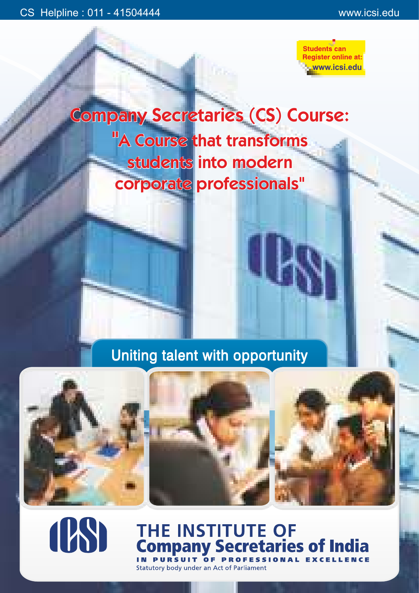

Company Secretaries (CS) Course: "A Course that transforms students into modern corporate professionals"

# Uniting talent with opportunity





# **THE INSTITUTE OF<br>Company Secretaries of India** OF PROFESS

Statutory body under an Act of Parliament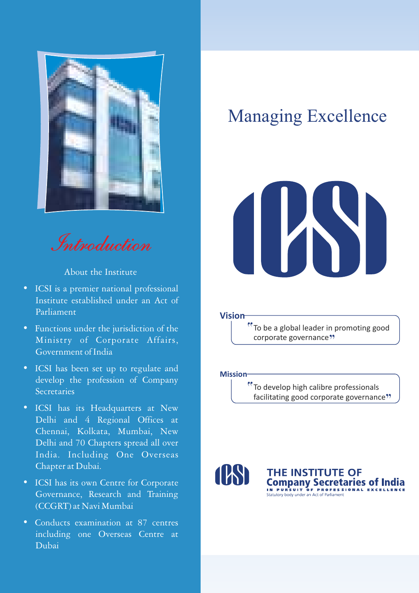

Introduction

About the Institute

- ICSI is a premier national professional Institute established under an Act of Parliament
- Functions under the jurisdiction of the Ministry of Corporate Affairs, Government of India
- ICSI has been set up to regulate and develop the profession of Company **Secretaries**
- ICSI has its Headquarters at New Delhi and 4 Regional Offices at Chennai, Kolkata, Mumbai, New Delhi and 70 Chapters spread all over India. Including One Overseas Chapter at Dubai.
- ICSI has its own Centre for Corporate Governance, Research and Training (CCGRT) at Navi Mumbai
- Conducts examination at 87 centres including one Overseas Centre at Dubai

# Managing Excellence



**Vision**

To be a global leader in promoting good corporate governance<sup>99</sup>

**Mission**

<sup>e</sup> To develop high calibre professionals facilitating good corporate governance"



THE INSTITUTE OF Company Secretaries of India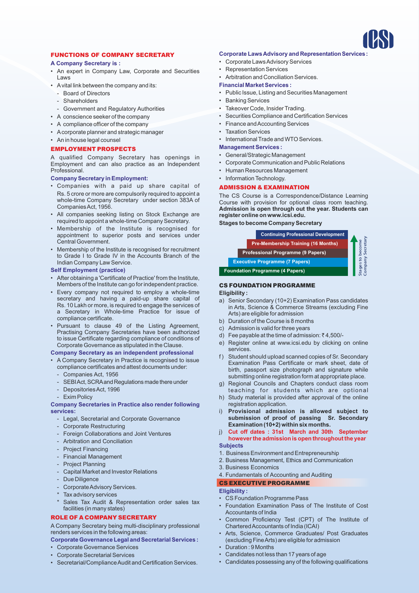

# FUNCTIONS OF COMPANY SECRETARY

# **A Company Secretary is :**

- An expert in Company Law, Corporate and Securities Laws
- Avital link between the company and its:
- Board of Directors
- Shareholders
- Government and Regulatory Authorities
- A conscience seeker of the company
- A compliance officer of the company
- Acorporate planner and strategic manager
- An in house legal counsel

#### EMPLOYMENT PROSPECTS

A qualified Company Secretary has openings in Employment and can also practice as an Independent Professional.

#### **Company Secretary in Employment:**

- Companies with a paid up share capital of Rs. 5 crore or more are compulsorily required to appoint a whole-time Company Secretary under section 383A of Companies Act, 1956.
- All companies seeking listing on Stock Exchange are required to appoint a whole-time Company Secretary.
- Membership of the Institute is recognised for appointment to superior posts and services under Central Government.
- Membership of the Institute is recognised for recruitment to Grade I to Grade IV in the Accounts Branch of the Indian Company Law Service.

#### **Self Employment (practice)**

- After obtaining a 'Certificate of Practice' from the Institute, Members of the Institute can go for independent practice.
- Every company not required to employ a whole-time secretary and having a paid-up share capital of Rs. 10 Lakh or more, is required to engage the services of a Secretary in Whole-time Practice for issue of compliance certificate.
- Pursuant to clause 49 of the Listing Agreement, Practising Company Secretaries have been authorized to issue Certificate regarding compliance of conditions of Corporate Governance as stipulated in the Clause.

# **Company Secretary as an independent professional**

- A Company Secretary in Practice is recognised to issue compliance certificates and attest documents under:
	- Companies Act, 1956
	- SEBIAct, SCRA and Regulations made there under
	- Depositories Act, 1996
	- Exim Policy

#### **Company Secretaries in Practice also render following services:**

- Legal, Secretarial and Corporate Governance
- Corporate Restructuring
- Foreign Collaborations and Joint Ventures
- Arbitration and Conciliation
- Project Financing
- Financial Management
- Project Planning
- Capital Market and Investor Relations
- Due Diligence
- Corporate Advisory Services.
- Tax advisory services
- Sales Tax Audit & Representation order sales tax facilities (in many states)

#### ROLE OF A COMPANY SECRETARY

A Company Secretary being multi-disciplinary professional renders services in the following areas:

**Corporate Governance Legal and Secretarial Services :**

- Corporate Governance Services
- Corporate Secretarial Services
- Secretarial/Compliance Audit and Certification Services.

# **Corporate Laws Advisory and RepresentationServices :**

- Corporate Laws Advisory Services
- Representation Services
- Arbitration and Conciliation Services.

# **Financial Market Services :**

- Public Issue, Listing and Securities Management
- Banking Services
- Takeover Code, Insider Trading.
- Securities Compliance and Certification Services
- Finance and Accounting Services
- Taxation Services
- International Trade and WTO Services.

# **Management Services :**

- General/Strategic Management
- Corporate Communication and Public Relations
- Human Resources Management
- Information Technology.

# ADMISSION & EXAMINATION

The CS Course is a Correspondence/Distance Learning Course with provision for optional class room teaching. **Admission is open through out the year. Students can register online on www.icsi.edu.**

**Stages to become Company Secretary**



# CS FOUNDATION PROGRAMME

# **Eligibility :**

- a) Senior Secondary (10+2) Examination Pass candidates in Arts, Science & Commerce Streams (excluding Fine Arts) are eligible for admission
- b) Duration of the Course is 8 months
- c) Admission is valid for three years
- d) Fee payable at the time of admission:  $\bar{z}$  4,500/-
- e) Register online at www.icsi.edu by clicking on online services.
- f ) Student should upload scanned copies of Sr. Secondary Examination Pass Certificate or mark sheet, date of birth, passport size photograph and signature while submitting online registration form at appropriate place.
- g) Regional Councils and Chapters conduct class room teaching for students which are optional
- h) Study material is provided after approval of the online registration application.
- i) **Provisional admission is allowed subject to submission of proof of passing Sr. Secondary Examination (10+2) within six months.**
- **Subjects** j) **Cut off dates : 31st March and 30th September however the admission is open throughout the year**

#### 1. Business Environment and Entrepreneurship

- 2. Business Management, Ethics and Communication
- 3. Business Economics
- 4. Fundamentals of Accounting and Auditing
- CS EXECUTIVE PROGRAMME

# **Eligibility :**

- CS Foundation Programme Pass
- Foundation Examination Pass of The Institute of Cost Accountants of India
- Common Proficiency Test (CPT) of The Institute of Chartered Accountants of India (ICAI)
- Arts, Science, Commerce Graduates/ Post Graduates (excluding Fine Arts) are eligible for admission
- Duration : 9 Months
- Candidates not less than 17 years of age
- Candidates possessing any of the following qualifications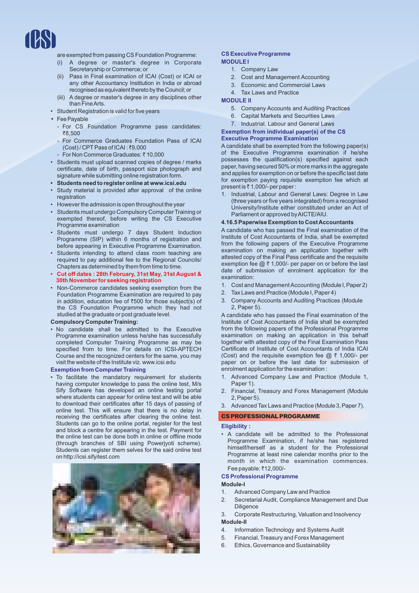

are exempted from passing CS Foundation Programme:

- (i) A degree or master's degree in Corporate Secretaryship or Commerce; or
- (ii) Pass in Final examination of ICAI (Cost) or ICAI or any other Accountancy Institution in India or abroad recognised as equivalent thereto by the Council; or
- (iii) A degree or master's degree in any disciplines other than Fine Arts.
- Student Registration is valid for five years
- Fee Payable
	- For CS Foundation Programme pass candidates: ₹8,500
	- For Commerce Graduates Foundation Pass of ICAI (Cost) / CPT Pass of ICAI : ₹9,000
	- For Non Commerce Graduates: ₹10,000
- Students must upload scanned copies of degree / marks certificate, date of birth, passport size photograph and signature while submitting online registration form.
- **• Students need to register online at www.icsi.edu**
- Study material is provided after approval of the online registration
- However the admission is open throughout the year
- Students must undergo Compulsory Computer Training or exempted thereof, before writing the CS Executive Programme examination
- Students must undergo 7 days Student Induction Programme (SIP) within 6 months of registration and before appearing in Executive Programme Examination.
- Students intending to attend class room teaching are required to pay additional fee to the Regional Councils/ Chapters as determined by them from time to time.
- **• Cut off dates : 28th February, 31st May, 31st August & 30th November for seeking registration**
- Non-Commerce candidates seeking exemption from the Foundation Programme Examination are required to pay in addition, education fee of  $\overline{500}$  for those subject(s) of the CS Foundation Programme which they had not studied at the graduate or post graduate level.

#### **Compulsory Computer Training:**

• No candidate shall be admitted to the Executive Programme examination unless he/she has successfully completed Computer Training Programme as may be specified from to time. For details on ICSI-APTECH Course and the recognized centers for the same, you may visit the website of the Institute viz. www.icsi.edu

## **Exemption from Computer Training**

• To facilitate the mandatory requirement for students having computer knowledge to pass the online test, M/s Sify Software has developed an online testing portal where students can appear for online test and will be able to download their certificates after 15 days of passing of online test. This will ensure that there is no delay in receiving the certificates after clearing the online test. Students can go to the online portal, register for the test and block a centre for appearing in the test. Payment for the online test can be done both in online or offline mode (through branches of SBI using Powerjyoti scheme). Students can register them selves for the said online test on http://icsi.sifyitest.com



#### **CS Executive Programme MODULE I**

- 1. Company Law
- 2. Cost and Management Accounting
- 3. Economic and Commercial Laws
- 4. Tax Laws and Practice

## **MODULE II**

- 5. Company Accounts and Auditing Practices
- 6. Capital Markets and Securities Laws
- 7. Industrial, Labour and General Laws

## **Exemption from individual paper(s) of the CS Executive Programme Examination**

A candidate shall be exempted from the following paper(s) of the Executive Programme examination if he/she possesses the qualification(s) specified against each paper, having secured 50% or more marks in the aggregate and applies for exemption on or before the specific last date for exemption paying requisite exemption fee which at present is  $\bar{c}$  1,000/- per paper :

1. Industrial, Labour and General Laws: Degree in Law (three years or five years integrated) from a recognised University/Institute either constituted under an Act of Parliament or approved by AICTE/AIU.

#### **4.16.5 Paperwise Exemption to Cost Accountants**

A candidate who has passed the Final examination of the Institute of Cost Accountants of India, shall be exempted from the following papers of the Executive Programme examination on making an application together with attested copy of the Final Pass certificate and the requisite exemption fee  $@ \bar{\tau}$  1,000/- per paper on or before the last date of submission of enrolment application for the examination:

- 1. Cost and Management Accounting (Module I, Paper 2)
- 2. Tax Laws and Practice (Module I, Paper 4)
- 3. Company Accounts and Auditing Practices (Module 2, Paper 5).

A candidate who has passed the Final examination of the Institute of Cost Accountants of India shall be exempted from the following papers of the Professional Programme examination on making an application in this behalf together with attested copy of the Final Examination Pass Certificate of Institute of Cost Accountants of India ICAI (Cost) and the requisite exemption fee  $@ \t3$  1,000/- per paper on or before the last date for submission of enrolment application for the examination :

- 1. Advanced Company Law and Practice (Module 1, Paper 1).
- 2. Financial, Treasury and Forex Management (Module 2, Paper 5).
- 3. Advanced Tax Laws and Practice (Module 3,Paper7).

#### CSPROFESSIONALPROGRAMME

#### **Eligibility :**

• A candidate will be admitted to the Professional Programme Examination, if he/she has registered himself/herself as a student for the Professional Programme at least nine calendar months prior to the month in which the examination commences. Fee payable: ₹12,000/-

#### **CS Professional Programme**

#### **Module-I**

- 1. Advanced Company Law and Practice
- 2. Secretarial Audit, Compliance Management and Due **Diligence**
- 3. Corporate Restructuring, Valuation and Insolvency **Module-II**
- 4. Information Technology and Systems Audit
- 5. Financial, Treasury and Forex Management
- 6. Ethics, Governance and Sustainability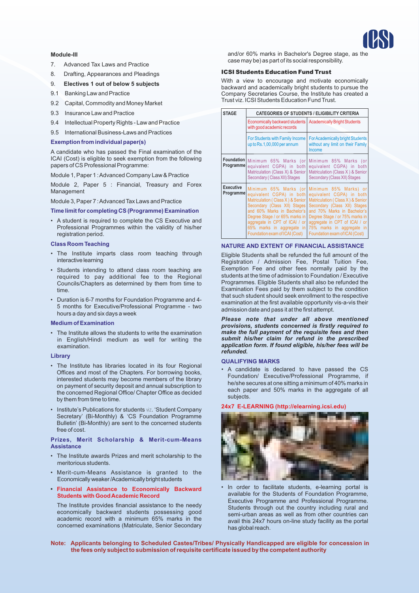#### **Module-III**

- 7. Advanced Tax Laws and Practice
- 8. Drafting, Appearances and Pleadings
- 9. **Electives 1 out of below 5 subjects**
- 9.1 Banking Law and Practice
- 9.2 Capital, Commodity and Money Market
- 9.3 Insurance Law and Practice
- 9.4 Intellectual Property Rights Law and Practice
- 9.5 International Business-Laws and Practices

### **Exemption from individual paper(s)**

A candidate who has passed the Final examination of the ICAI (Cost) is eligible to seek exemption from the following papers of CS Professional Programme:

Module 1, Paper 1 : Advanced Company Law & Practice

Module 2, Paper 5 : Financial, Treasury and Forex Management

Module 3, Paper 7 : Advanced Tax Laws and Practice

**Time limit for completing CS (Programme) Examination**

• A student is required to complete the CS Executive and Professional Programmes within the validity of his/her registration period.

## **Class Room Teaching**

- The Institute imparts class room teaching through interactive learning
- Students intending to attend class room teaching are required to pay additional fee to the Regional Councils/Chapters as determined by them from time to time.
- Duration is 6-7 months for Foundation Programme and 4- 5 months for Executive/Professional Programme - two hours a day and six days a week

#### **Medium of Examination**

• The Institute allows the students to write the examination in English/Hindi medium as well for writing the examination.

#### **Library**

- The Institute has libraries located in its four Regional Offices and most of the Chapters. For borrowing books, interested students may become members of the library on payment of security deposit and annual subscription to the concerned Regional Office/ Chapter Office as decided by them from time to time.
- Institute's Publications for students viz. 'Student Company Secretary' (Bi-Monthly) & 'CS Foundation Programme Bulletin' (Bi-Monthly) are sent to the concerned students free of cost.

#### **Prizes, Merit Scholarship & Merit-cum-Means Assistance**

- The Institute awards Prizes and merit scholarship to the meritorious students.
- Merit-cum-Means Assistance is granted to the Economicallyweaker/Academicallybright students
- **• Financial Assistance to Economically Backward Students with Good Academic Record**

The Institute provides financial assistance to the needy economically backward students possessing good academic record with a minimum 65% marks in the concerned examinations (Matriculate, Senior Secondary and/or 60% marks in Bachelor's Degree stage, as the case may be) as part of its social responsibility.

#### ICSI Students Education Fund Trust

With a view to encourage and motivate economically backward and academically bright students to pursue the Company Secretaries Course, the Institute has created a Trust viz. ICSI Students Education Fund Trust.

| <b>STAGE</b>                  | <b>CATEGORIES OF STUDENTS / ELIGIBILITY CRITERIA</b>                                                                                                                                                                                                          |                                                                                                                                                                                                                                                                                                              |
|-------------------------------|---------------------------------------------------------------------------------------------------------------------------------------------------------------------------------------------------------------------------------------------------------------|--------------------------------------------------------------------------------------------------------------------------------------------------------------------------------------------------------------------------------------------------------------------------------------------------------------|
|                               | Economically backward students<br>with good academic records                                                                                                                                                                                                  | <b>Academically Bright Students</b>                                                                                                                                                                                                                                                                          |
|                               | For Students with Family Income<br>up to Rs.1,00,000 per annum                                                                                                                                                                                                | <b>For Academically bright Students</b><br>without any limit on their Family<br>Income                                                                                                                                                                                                                       |
| Programme                     | Foundation Minimum 65% Marks (or<br>equivalent CGPA) in both<br>Matriculation (Class X) & Senior<br>Secondary (Class XII) Stages                                                                                                                              | Minimum 85% Marks (or<br>equivalent CGPA) in both<br>Matriculation (Class X) & Senior<br>Secondary (Class XII) Stages                                                                                                                                                                                        |
| <b>Executive</b><br>Programme | equivalent CGPA) in both<br>Matriculation (Class X) & Senior<br>Secondary (Class XII) Stages<br>and 60% Marks in Bachelor's<br>Degree Stage / or 65% marks in<br>aggregate in CPT of ICAI / or<br>65% marks in aggregate in<br>Foundation exam of ICAI (Cost) | Minimum 65% Marks (or Minimum 85% Marks) or<br>equivalent CGPA) in both<br>Matriculation (Class X) & Senior<br>Secondary (Class XII) Stages<br>and 70% Marks in Bachelor's<br>Degree Stage / or 75% marks in<br>aggregate in CPT of ICAI / or<br>75% marks in aggregate in<br>Foundation exam of ICAI (Cost) |

#### **NATURE AND EXTENT OF FINANCIAL ASSISTANCE**

Eligible Students shall be refunded the full amount of the Registration / Admission Fee, Postal Tuition Fee, Exemption Fee and other fees normally paid by the students at the time of admission to Foundation / Executive Programmes. Eligible Students shall also be refunded the Examination Fees paid by them subject to the condition that such student should seek enrollment to the respective examination at the first available opportunity vis-a-vis their admission date and pass it at the first attempt.

*Please note that under all above mentioned provisions, students concerned is firstly required to make the full payment of the requisite fees and then submit his/her claim for refund in the prescribed application form. If found eligible, his/her fees will be refunded.* 

#### **QUALIFYING MARKS**

• A candidate is declared to have passed the CS Foundation/ Executive/Professional Programme, if he/she secures at one sitting a minimum of 40% marks in each paper and 50% marks in the aggregate of all subjects.

#### **24x7 E-LEARNING (http://elearning.icsi.edu)**



- In order to facilitate students, e-learning portal is available for the Students of Foundation Programme, Executive Programme and Professional Programme. Students through out the country including rural and semi-urban areas as well as from other countries can avail this 24x7 hours on-line study facility as the portal has global reach.
- **Note: Applicants belonging to Scheduled Castes/Tribes/ Physically Handicapped are eligible for concession in the fees only subject to submission of requisite certificate issued by the competent authority**

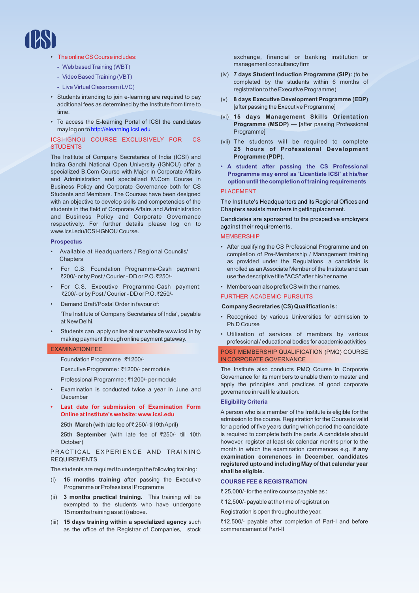

- The online CS Course includes:
	- Web based Training (WBT)
	- Video Based Training (VBT)
	- Live Virtual Classroom (LVC)
- Students intending to join e-learning are required to pay additional fees as determined by the Institute from time to time.
- To access the E-learning Portal of ICSI the candidates may log on to http://elearning.icsi.edu

## ICSI-IGNOU COURSE EXCLUSIVELY FOR CS **STUDENTS**

The Institute of Company Secretaries of India (ICSI) and Indira Gandhi National Open University (IGNOU) offer a specialized B.Com Course with Major in Corporate Affairs and Administration and specialized M.Com Course in Business Policy and Corporate Governance both for CS Students and Members. The Courses have been designed with an objective to develop skills and competencies of the students in the field of Corporate Affairs and Administration and Business Policy and Corporate Governance respectively. For further details please log on to www.icsi.edu/ICSI-IGNOU Course.

#### **Prospectus**

- Available at Headquarters / Regional Councils/ **Chapters**
- For C.S. Foundation Programme-Cash payment: ₹200/- or by Post / Courier - DD or P.O. ₹250/-
- For C.S. Executive Programme-Cash payment: ₹200/- or by Post / Courier - DD or P.O. ₹250/-
- Demand Draft/Postal Order in favour of:

'The Institute of Company Secretaries of India', payable at New Delhi.

Students can apply online at our website www.icsi.in by making payment through online payment gateway.

#### EXAMINATION FEE

Foundation Programme :₹1200/-

Executive Programme : ₹1200/- per module

Professional Programme : ₹1200/- per module

- Examination is conducted twice a year in June and December
- **• Last date for submission of Examination Form Online at Institute's website: www.icsi.edu**

**25th March** (with late fee of ₹ 250/- till 9th April)

**25th September** (with late fee of ₹250/- till 10th October)

#### PRACTICAL EXPERIENCE AND TRAINING REQUIREMENTS

The students are required to undergo the following training:

- (i) **15 months training** after passing the Executive Programme or Professional Programme
- (ii) **3 months practical training.** This training will be exempted to the students who have undergone 15 months training as at (i) above.
- (iii) **15 days training within a specialized agency** such as the office of the Registrar of Companies, stock

exchange, financial or banking institution or management consultancy firm

- (iv) **7 days Student Induction Programme (SIP):** (to be completed by the students within 6 months of registration to the Executive Programme)
- (v) **8 days Executive Development Programme (EDP)**  [after passing the Executive Programme]
- (vi) **15 days Management Skills Orientation Programme (MSOP) —** [after passing Professional **Programmel**
- (vii) The students will be required to complete **25 hours of Professional Development Programme (PDP).**
- **A student after passing the CS Professional Programme may enrol as 'Licentiate ICSI' at his/her option until the completion of training requirements**

#### PLACEMENT

The Institute's Headquarters and its Regional Offices and Chapters assists members in getting placement.

Candidates are sponsored to the prospective employers against their requirements.

## **MEMBERSHIP**

- After qualifying the CS Professional Programme and on completion of Pre-Membership / Management training as provided under the Regulations, a candidate is enrolled as an Associate Member of the Institute and can use the descriptive title "ACS" after his/her name
- Members can also prefix CS with their names.

# FURTHER ACADEMIC PURSUITS

# **Company Secretaries (CS) Qualification is :**

- Recognised by various Universities for admission to Ph.D Course
- Utilisation of services of members by various professional / educational bodies for academic activities

POST MEMBERSHIP QUALIFICATION (PMQ) COURSE IN CORPORATE GOVERNANCE

The Institute also conducts PMQ Course in Corporate Governance for its members to enable them to master and apply the principles and practices of good corporate governance in real life situation.

### **Eligibility Criteria**

A person who is a member of the Institute is eligible for the admission to the course. Registration for the Course is valid for a period of five years during which period the candidate is required to complete both the parts. A candidate should however, register at least six calendar months prior to the month in which the examination commences e.g. **if any examination commences in December, candidates registered upto and including May of that calendar year shall be eligible.**

#### **COURSE FEE & REGISTRATION**

` 25,000/- for the entire course payable as :

₹12,500/- payable at the time of registration

Registration is open throughout the year.

₹12,500/- payable after completion of Part-I and before commencement of Part-II